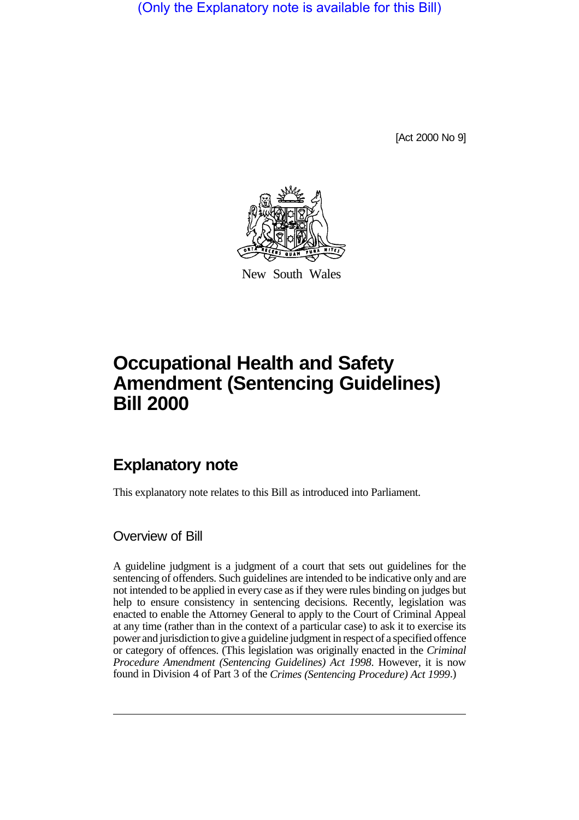(Only the Explanatory note is available for this Bill)

[Act 2000 No 9]



New South Wales

## **Occupational Health and Safety Amendment (Sentencing Guidelines) Bill 2000**

## **Explanatory note**

This explanatory note relates to this Bill as introduced into Parliament.

## Overview of Bill

A guideline judgment is a judgment of a court that sets out guidelines for the sentencing of offenders. Such guidelines are intended to be indicative only and are not intended to be applied in every case as if they were rules binding on judges but help to ensure consistency in sentencing decisions. Recently, legislation was enacted to enable the Attorney General to apply to the Court of Criminal Appeal at any time (rather than in the context of a particular case) to ask it to exercise its power and jurisdiction to give a guideline judgment in respect of a specified offence or category of offences. (This legislation was originally enacted in the *Criminal Procedure Amendment (Sentencing Guidelines) Act 1998*. However, it is now found in Division 4 of Part 3 of the *Crimes (Sentencing Procedure) Act 1999*.)